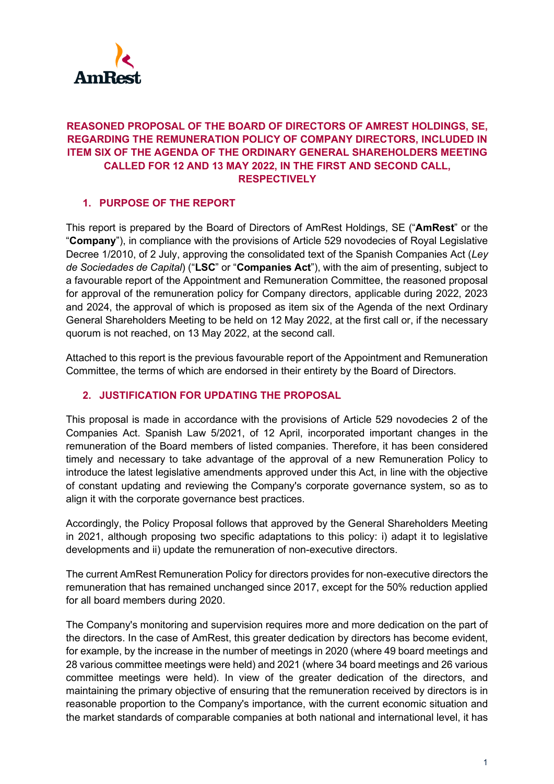

# **REASONED PROPOSAL OF THE BOARD OF DIRECTORS OF AMREST HOLDINGS, SE, REGARDING THE REMUNERATION POLICY OF COMPANY DIRECTORS, INCLUDED IN ITEM SIX OF THE AGENDA OF THE ORDINARY GENERAL SHAREHOLDERS MEETING CALLED FOR 12 AND 13 MAY 2022, IN THE FIRST AND SECOND CALL, RESPECTIVELY**

# **1. PURPOSE OF THE REPORT**

This report is prepared by the Board of Directors of AmRest Holdings, SE ("**AmRest**" or the "**Company**"), in compliance with the provisions of Article 529 novodecies of Royal Legislative Decree 1/2010, of 2 July, approving the consolidated text of the Spanish Companies Act (*Ley de Sociedades de Capital*) ("**LSC**" or "**Companies Act**"), with the aim of presenting, subject to a favourable report of the Appointment and Remuneration Committee, the reasoned proposal for approval of the remuneration policy for Company directors, applicable during 2022, 2023 and 2024, the approval of which is proposed as item six of the Agenda of the next Ordinary General Shareholders Meeting to be held on 12 May 2022, at the first call or, if the necessary quorum is not reached, on 13 May 2022, at the second call.

Attached to this report is the previous favourable report of the Appointment and Remuneration Committee, the terms of which are endorsed in their entirety by the Board of Directors.

## **2. JUSTIFICATION FOR UPDATING THE PROPOSAL**

This proposal is made in accordance with the provisions of Article 529 novodecies 2 of the Companies Act. Spanish Law 5/2021, of 12 April, incorporated important changes in the remuneration of the Board members of listed companies. Therefore, it has been considered timely and necessary to take advantage of the approval of a new Remuneration Policy to introduce the latest legislative amendments approved under this Act, in line with the objective of constant updating and reviewing the Company's corporate governance system, so as to align it with the corporate governance best practices.

Accordingly, the Policy Proposal follows that approved by the General Shareholders Meeting in 2021, although proposing two specific adaptations to this policy: i) adapt it to legislative developments and ii) update the remuneration of non-executive directors.

The current AmRest Remuneration Policy for directors provides for non-executive directors the remuneration that has remained unchanged since 2017, except for the 50% reduction applied for all board members during 2020.

The Company's monitoring and supervision requires more and more dedication on the part of the directors. In the case of AmRest, this greater dedication by directors has become evident, for example, by the increase in the number of meetings in 2020 (where 49 board meetings and 28 various committee meetings were held) and 2021 (where 34 board meetings and 26 various committee meetings were held). In view of the greater dedication of the directors, and maintaining the primary objective of ensuring that the remuneration received by directors is in reasonable proportion to the Company's importance, with the current economic situation and the market standards of comparable companies at both national and international level, it has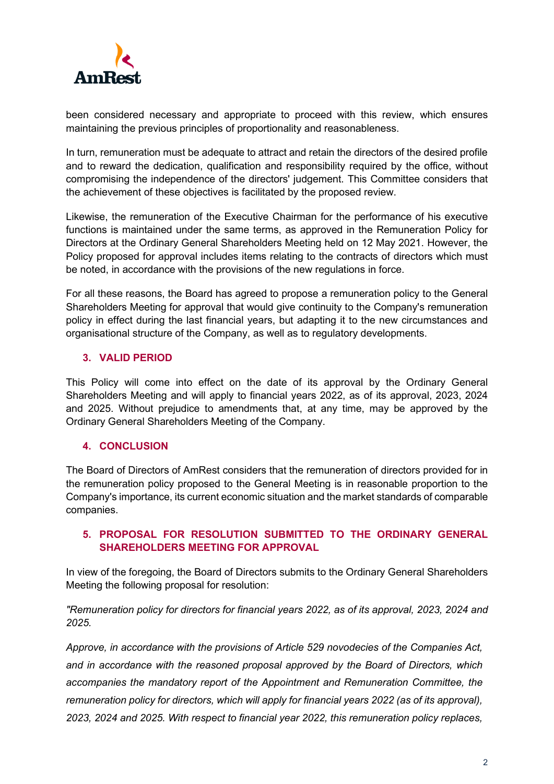

been considered necessary and appropriate to proceed with this review, which ensures maintaining the previous principles of proportionality and reasonableness.

In turn, remuneration must be adequate to attract and retain the directors of the desired profile and to reward the dedication, qualification and responsibility required by the office, without compromising the independence of the directors' judgement. This Committee considers that the achievement of these objectives is facilitated by the proposed review.

Likewise, the remuneration of the Executive Chairman for the performance of his executive functions is maintained under the same terms, as approved in the Remuneration Policy for Directors at the Ordinary General Shareholders Meeting held on 12 May 2021. However, the Policy proposed for approval includes items relating to the contracts of directors which must be noted, in accordance with the provisions of the new regulations in force.

For all these reasons, the Board has agreed to propose a remuneration policy to the General Shareholders Meeting for approval that would give continuity to the Company's remuneration policy in effect during the last financial years, but adapting it to the new circumstances and organisational structure of the Company, as well as to regulatory developments.

## **3. VALID PERIOD**

This Policy will come into effect on the date of its approval by the Ordinary General Shareholders Meeting and will apply to financial years 2022, as of its approval, 2023, 2024 and 2025. Without prejudice to amendments that, at any time, may be approved by the Ordinary General Shareholders Meeting of the Company.

### **4. CONCLUSION**

The Board of Directors of AmRest considers that the remuneration of directors provided for in the remuneration policy proposed to the General Meeting is in reasonable proportion to the Company's importance, its current economic situation and the market standards of comparable companies.

## **5. PROPOSAL FOR RESOLUTION SUBMITTED TO THE ORDINARY GENERAL SHAREHOLDERS MEETING FOR APPROVAL**

In view of the foregoing, the Board of Directors submits to the Ordinary General Shareholders Meeting the following proposal for resolution:

*"Remuneration policy for directors for financial years 2022, as of its approval, 2023, 2024 and 2025.* 

*Approve, in accordance with the provisions of Article 529 novodecies of the Companies Act, and in accordance with the reasoned proposal approved by the Board of Directors, which accompanies the mandatory report of the Appointment and Remuneration Committee, the remuneration policy for directors, which will apply for financial years 2022 (as of its approval), 2023, 2024 and 2025. With respect to financial year 2022, this remuneration policy replaces,*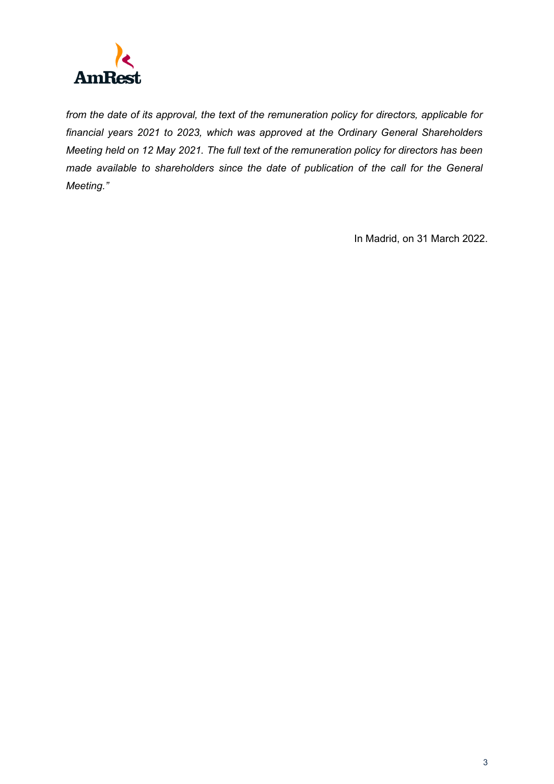

*from the date of its approval, the text of the remuneration policy for directors, applicable for financial years 2021 to 2023, which was approved at the Ordinary General Shareholders Meeting held on 12 May 2021. The full text of the remuneration policy for directors has been made available to shareholders since the date of publication of the call for the General Meeting."*

In Madrid, on 31 March 2022.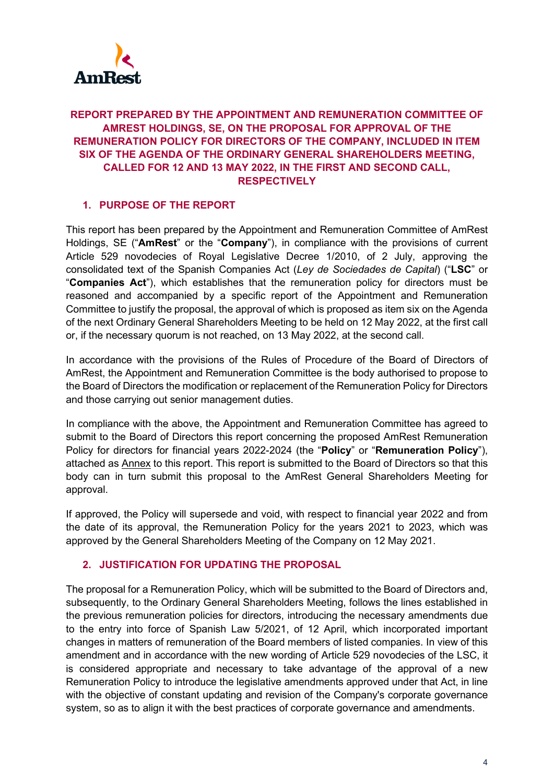

# **REPORT PREPARED BY THE APPOINTMENT AND REMUNERATION COMMITTEE OF AMREST HOLDINGS, SE, ON THE PROPOSAL FOR APPROVAL OF THE REMUNERATION POLICY FOR DIRECTORS OF THE COMPANY, INCLUDED IN ITEM SIX OF THE AGENDA OF THE ORDINARY GENERAL SHAREHOLDERS MEETING, CALLED FOR 12 AND 13 MAY 2022, IN THE FIRST AND SECOND CALL, RESPECTIVELY**

# **1. PURPOSE OF THE REPORT**

This report has been prepared by the Appointment and Remuneration Committee of AmRest Holdings, SE ("**AmRest**" or the "**Company**"), in compliance with the provisions of current Article 529 novodecies of Royal Legislative Decree 1/2010, of 2 July, approving the consolidated text of the Spanish Companies Act (*Ley de Sociedades de Capital*) ("**LSC**" or "**Companies Act**"), which establishes that the remuneration policy for directors must be reasoned and accompanied by a specific report of the Appointment and Remuneration Committee to justify the proposal, the approval of which is proposed as item six on the Agenda of the next Ordinary General Shareholders Meeting to be held on 12 May 2022, at the first call or, if the necessary quorum is not reached, on 13 May 2022, at the second call.

In accordance with the provisions of the Rules of Procedure of the Board of Directors of AmRest, the Appointment and Remuneration Committee is the body authorised to propose to the Board of Directors the modification or replacement of the Remuneration Policy for Directors and those carrying out senior management duties.

In compliance with the above, the Appointment and Remuneration Committee has agreed to submit to the Board of Directors this report concerning the proposed AmRest Remuneration Policy for directors for financial years 2022-2024 (the "**Policy**" or "**Remuneration Policy**"), attached as Annex to this report. This report is submitted to the Board of Directors so that this body can in turn submit this proposal to the AmRest General Shareholders Meeting for approval.

If approved, the Policy will supersede and void, with respect to financial year 2022 and from the date of its approval, the Remuneration Policy for the years 2021 to 2023, which was approved by the General Shareholders Meeting of the Company on 12 May 2021.

### **2. JUSTIFICATION FOR UPDATING THE PROPOSAL**

The proposal for a Remuneration Policy, which will be submitted to the Board of Directors and, subsequently, to the Ordinary General Shareholders Meeting, follows the lines established in the previous remuneration policies for directors, introducing the necessary amendments due to the entry into force of Spanish Law 5/2021, of 12 April, which incorporated important changes in matters of remuneration of the Board members of listed companies. In view of this amendment and in accordance with the new wording of Article 529 novodecies of the LSC, it is considered appropriate and necessary to take advantage of the approval of a new Remuneration Policy to introduce the legislative amendments approved under that Act, in line with the objective of constant updating and revision of the Company's corporate governance system, so as to align it with the best practices of corporate governance and amendments.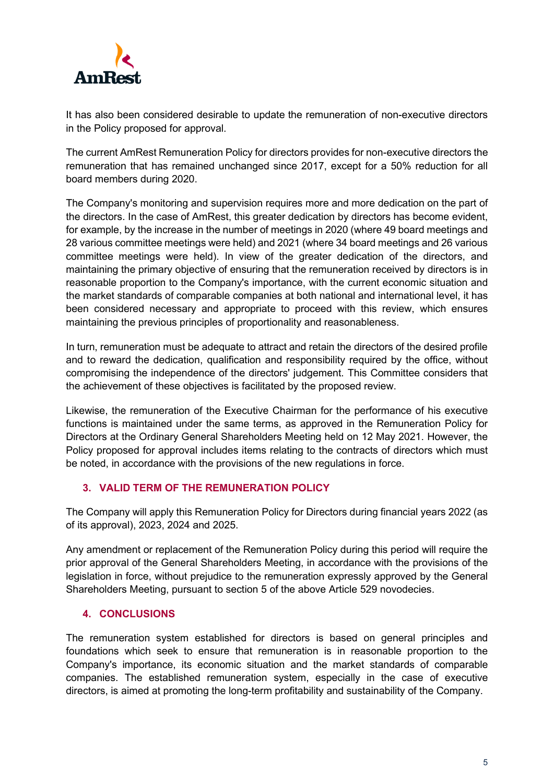

It has also been considered desirable to update the remuneration of non-executive directors in the Policy proposed for approval.

The current AmRest Remuneration Policy for directors provides for non-executive directors the remuneration that has remained unchanged since 2017, except for a 50% reduction for all board members during 2020.

The Company's monitoring and supervision requires more and more dedication on the part of the directors. In the case of AmRest, this greater dedication by directors has become evident, for example, by the increase in the number of meetings in 2020 (where 49 board meetings and 28 various committee meetings were held) and 2021 (where 34 board meetings and 26 various committee meetings were held). In view of the greater dedication of the directors, and maintaining the primary objective of ensuring that the remuneration received by directors is in reasonable proportion to the Company's importance, with the current economic situation and the market standards of comparable companies at both national and international level, it has been considered necessary and appropriate to proceed with this review, which ensures maintaining the previous principles of proportionality and reasonableness.

In turn, remuneration must be adequate to attract and retain the directors of the desired profile and to reward the dedication, qualification and responsibility required by the office, without compromising the independence of the directors' judgement. This Committee considers that the achievement of these objectives is facilitated by the proposed review.

Likewise, the remuneration of the Executive Chairman for the performance of his executive functions is maintained under the same terms, as approved in the Remuneration Policy for Directors at the Ordinary General Shareholders Meeting held on 12 May 2021. However, the Policy proposed for approval includes items relating to the contracts of directors which must be noted, in accordance with the provisions of the new regulations in force.

# **3. VALID TERM OF THE REMUNERATION POLICY**

The Company will apply this Remuneration Policy for Directors during financial years 2022 (as of its approval), 2023, 2024 and 2025.

Any amendment or replacement of the Remuneration Policy during this period will require the prior approval of the General Shareholders Meeting, in accordance with the provisions of the legislation in force, without prejudice to the remuneration expressly approved by the General Shareholders Meeting, pursuant to section 5 of the above Article 529 novodecies.

# **4. CONCLUSIONS**

The remuneration system established for directors is based on general principles and foundations which seek to ensure that remuneration is in reasonable proportion to the Company's importance, its economic situation and the market standards of comparable companies. The established remuneration system, especially in the case of executive directors, is aimed at promoting the long-term profitability and sustainability of the Company.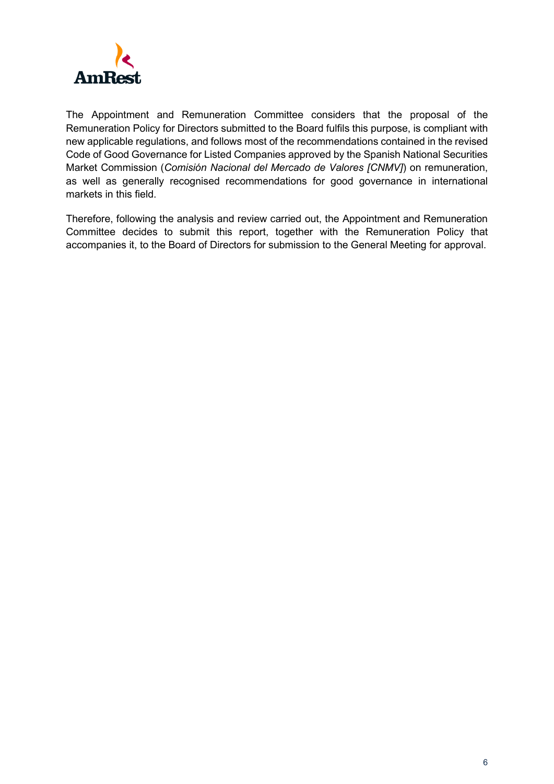

The Appointment and Remuneration Committee considers that the proposal of the Remuneration Policy for Directors submitted to the Board fulfils this purpose, is compliant with new applicable regulations, and follows most of the recommendations contained in the revised Code of Good Governance for Listed Companies approved by the Spanish National Securities Market Commission (*Comisión Nacional del Mercado de Valores [CNMV]*) on remuneration, as well as generally recognised recommendations for good governance in international markets in this field.

Therefore, following the analysis and review carried out, the Appointment and Remuneration Committee decides to submit this report, together with the Remuneration Policy that accompanies it, to the Board of Directors for submission to the General Meeting for approval.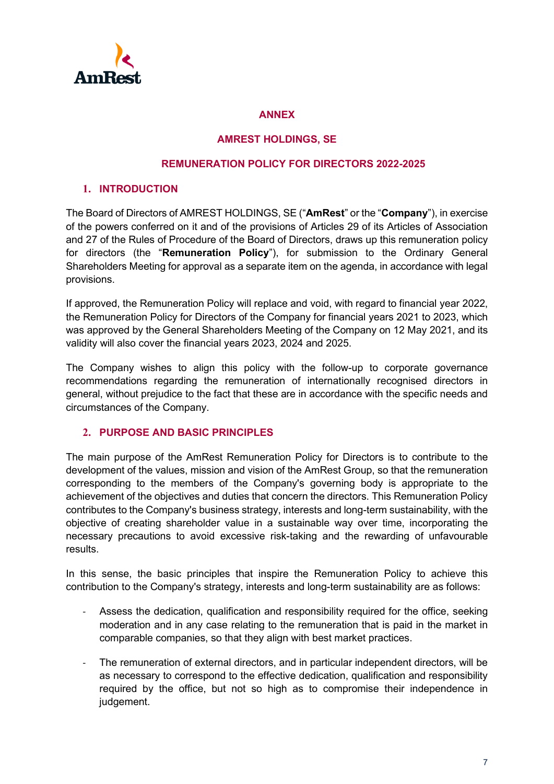

### **ANNEX**

#### **AMREST HOLDINGS, SE**

#### **REMUNERATION POLICY FOR DIRECTORS 2022-2025**

### **1. INTRODUCTION**

The Board of Directors of AMREST HOLDINGS, SE ("**AmRest**" or the "**Company**"), in exercise of the powers conferred on it and of the provisions of Articles 29 of its Articles of Association and 27 of the Rules of Procedure of the Board of Directors, draws up this remuneration policy for directors (the "**Remuneration Policy**"), for submission to the Ordinary General Shareholders Meeting for approval as a separate item on the agenda, in accordance with legal provisions.

If approved, the Remuneration Policy will replace and void, with regard to financial year 2022, the Remuneration Policy for Directors of the Company for financial years 2021 to 2023, which was approved by the General Shareholders Meeting of the Company on 12 May 2021, and its validity will also cover the financial years 2023, 2024 and 2025.

The Company wishes to align this policy with the follow-up to corporate governance recommendations regarding the remuneration of internationally recognised directors in general, without prejudice to the fact that these are in accordance with the specific needs and circumstances of the Company.

### **2. PURPOSE AND BASIC PRINCIPLES**

The main purpose of the AmRest Remuneration Policy for Directors is to contribute to the development of the values, mission and vision of the AmRest Group, so that the remuneration corresponding to the members of the Company's governing body is appropriate to the achievement of the objectives and duties that concern the directors. This Remuneration Policy contributes to the Company's business strategy, interests and long-term sustainability, with the objective of creating shareholder value in a sustainable way over time, incorporating the necessary precautions to avoid excessive risk-taking and the rewarding of unfavourable results.

In this sense, the basic principles that inspire the Remuneration Policy to achieve this contribution to the Company's strategy, interests and long-term sustainability are as follows:

- Assess the dedication, qualification and responsibility required for the office, seeking moderation and in any case relating to the remuneration that is paid in the market in comparable companies, so that they align with best market practices.
- The remuneration of external directors, and in particular independent directors, will be as necessary to correspond to the effective dedication, qualification and responsibility required by the office, but not so high as to compromise their independence in judgement.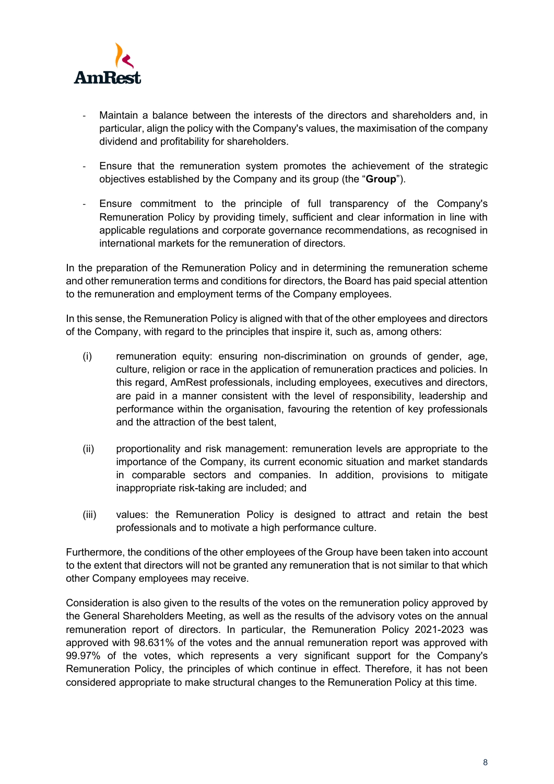

- Maintain a balance between the interests of the directors and shareholders and, in particular, align the policy with the Company's values, the maximisation of the company dividend and profitability for shareholders.
- Ensure that the remuneration system promotes the achievement of the strategic objectives established by the Company and its group (the "**Group**").
- Ensure commitment to the principle of full transparency of the Company's Remuneration Policy by providing timely, sufficient and clear information in line with applicable regulations and corporate governance recommendations, as recognised in international markets for the remuneration of directors.

In the preparation of the Remuneration Policy and in determining the remuneration scheme and other remuneration terms and conditions for directors, the Board has paid special attention to the remuneration and employment terms of the Company employees.

In this sense, the Remuneration Policy is aligned with that of the other employees and directors of the Company, with regard to the principles that inspire it, such as, among others:

- (i) remuneration equity: ensuring non-discrimination on grounds of gender, age, culture, religion or race in the application of remuneration practices and policies. In this regard, AmRest professionals, including employees, executives and directors, are paid in a manner consistent with the level of responsibility, leadership and performance within the organisation, favouring the retention of key professionals and the attraction of the best talent,
- (ii) proportionality and risk management: remuneration levels are appropriate to the importance of the Company, its current economic situation and market standards in comparable sectors and companies. In addition, provisions to mitigate inappropriate risk-taking are included; and
- (iii) values: the Remuneration Policy is designed to attract and retain the best professionals and to motivate a high performance culture.

Furthermore, the conditions of the other employees of the Group have been taken into account to the extent that directors will not be granted any remuneration that is not similar to that which other Company employees may receive.

Consideration is also given to the results of the votes on the remuneration policy approved by the General Shareholders Meeting, as well as the results of the advisory votes on the annual remuneration report of directors. In particular, the Remuneration Policy 2021-2023 was approved with 98.631% of the votes and the annual remuneration report was approved with 99.97% of the votes, which represents a very significant support for the Company's Remuneration Policy, the principles of which continue in effect. Therefore, it has not been considered appropriate to make structural changes to the Remuneration Policy at this time.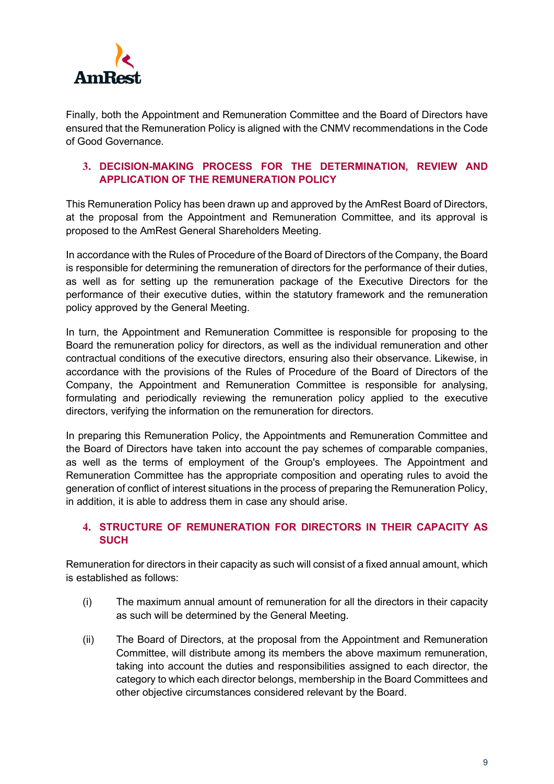

Finally, both the Appointment and Remuneration Committee and the Board of Directors have ensured that the Remuneration Policy is aligned with the CNMV recommendations in the Code of Good Governance.

# **3. DECISION-MAKING PROCESS FOR THE DETERMINATION, REVIEW AND APPLICATION OF THE REMUNERATION POLICY**

This Remuneration Policy has been drawn up and approved by the AmRest Board of Directors, at the proposal from the Appointment and Remuneration Committee, and its approval is proposed to the AmRest General Shareholders Meeting.

In accordance with the Rules of Procedure of the Board of Directors of the Company, the Board is responsible for determining the remuneration of directors for the performance of their duties, as well as for setting up the remuneration package of the Executive Directors for the performance of their executive duties, within the statutory framework and the remuneration policy approved by the General Meeting.

In turn, the Appointment and Remuneration Committee is responsible for proposing to the Board the remuneration policy for directors, as well as the individual remuneration and other contractual conditions of the executive directors, ensuring also their observance. Likewise, in accordance with the provisions of the Rules of Procedure of the Board of Directors of the Company, the Appointment and Remuneration Committee is responsible for analysing, formulating and periodically reviewing the remuneration policy applied to the executive directors, verifying the information on the remuneration for directors.

In preparing this Remuneration Policy, the Appointments and Remuneration Committee and the Board of Directors have taken into account the pay schemes of comparable companies, as well as the terms of employment of the Group's employees. The Appointment and Remuneration Committee has the appropriate composition and operating rules to avoid the generation of conflict of interest situations in the process of preparing the Remuneration Policy, in addition, it is able to address them in case any should arise.

## **4. STRUCTURE OF REMUNERATION FOR DIRECTORS IN THEIR CAPACITY AS SUCH**

Remuneration for directors in their capacity as such will consist of a fixed annual amount, which is established as follows:

- (i) The maximum annual amount of remuneration for all the directors in their capacity as such will be determined by the General Meeting.
- (ii) The Board of Directors, at the proposal from the Appointment and Remuneration Committee, will distribute among its members the above maximum remuneration, taking into account the duties and responsibilities assigned to each director, the category to which each director belongs, membership in the Board Committees and other objective circumstances considered relevant by the Board.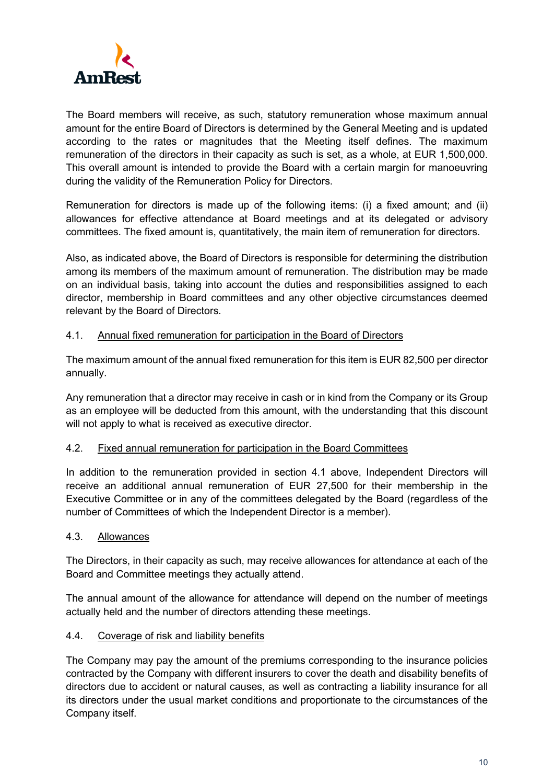

The Board members will receive, as such, statutory remuneration whose maximum annual amount for the entire Board of Directors is determined by the General Meeting and is updated according to the rates or magnitudes that the Meeting itself defines. The maximum remuneration of the directors in their capacity as such is set, as a whole, at EUR 1,500,000. This overall amount is intended to provide the Board with a certain margin for manoeuvring during the validity of the Remuneration Policy for Directors.

Remuneration for directors is made up of the following items: (i) a fixed amount; and (ii) allowances for effective attendance at Board meetings and at its delegated or advisory committees. The fixed amount is, quantitatively, the main item of remuneration for directors.

Also, as indicated above, the Board of Directors is responsible for determining the distribution among its members of the maximum amount of remuneration. The distribution may be made on an individual basis, taking into account the duties and responsibilities assigned to each director, membership in Board committees and any other objective circumstances deemed relevant by the Board of Directors.

## 4.1. Annual fixed remuneration for participation in the Board of Directors

The maximum amount of the annual fixed remuneration for this item is EUR 82,500 per director annually.

Any remuneration that a director may receive in cash or in kind from the Company or its Group as an employee will be deducted from this amount, with the understanding that this discount will not apply to what is received as executive director.

### 4.2. Fixed annual remuneration for participation in the Board Committees

In addition to the remuneration provided in section 4.1 above, Independent Directors will receive an additional annual remuneration of EUR 27,500 for their membership in the Executive Committee or in any of the committees delegated by the Board (regardless of the number of Committees of which the Independent Director is a member).

### 4.3. Allowances

The Directors, in their capacity as such, may receive allowances for attendance at each of the Board and Committee meetings they actually attend.

The annual amount of the allowance for attendance will depend on the number of meetings actually held and the number of directors attending these meetings.

### 4.4. Coverage of risk and liability benefits

The Company may pay the amount of the premiums corresponding to the insurance policies contracted by the Company with different insurers to cover the death and disability benefits of directors due to accident or natural causes, as well as contracting a liability insurance for all its directors under the usual market conditions and proportionate to the circumstances of the Company itself.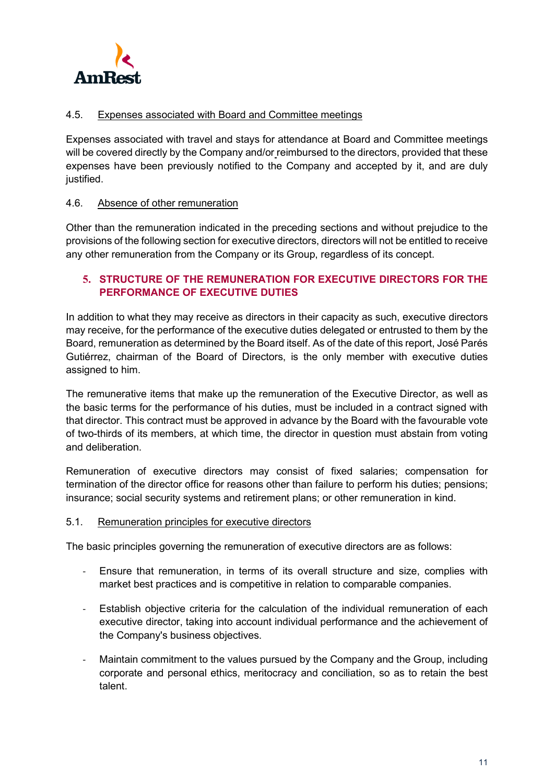

## 4.5. Expenses associated with Board and Committee meetings

Expenses associated with travel and stays for attendance at Board and Committee meetings will be covered directly by the Company and/or reimbursed to the directors, provided that these expenses have been previously notified to the Company and accepted by it, and are duly justified.

## 4.6. Absence of other remuneration

Other than the remuneration indicated in the preceding sections and without prejudice to the provisions of the following section for executive directors, directors will not be entitled to receive any other remuneration from the Company or its Group, regardless of its concept.

# **5. STRUCTURE OF THE REMUNERATION FOR EXECUTIVE DIRECTORS FOR THE PERFORMANCE OF EXECUTIVE DUTIES**

In addition to what they may receive as directors in their capacity as such, executive directors may receive, for the performance of the executive duties delegated or entrusted to them by the Board, remuneration as determined by the Board itself. As of the date of this report, José Parés Gutiérrez, chairman of the Board of Directors, is the only member with executive duties assigned to him.

The remunerative items that make up the remuneration of the Executive Director, as well as the basic terms for the performance of his duties, must be included in a contract signed with that director. This contract must be approved in advance by the Board with the favourable vote of two-thirds of its members, at which time, the director in question must abstain from voting and deliberation.

Remuneration of executive directors may consist of fixed salaries; compensation for termination of the director office for reasons other than failure to perform his duties; pensions; insurance; social security systems and retirement plans; or other remuneration in kind.

### 5.1. Remuneration principles for executive directors

The basic principles governing the remuneration of executive directors are as follows:

- Ensure that remuneration, in terms of its overall structure and size, complies with market best practices and is competitive in relation to comparable companies.
- Establish objective criteria for the calculation of the individual remuneration of each executive director, taking into account individual performance and the achievement of the Company's business objectives.
- Maintain commitment to the values pursued by the Company and the Group, including corporate and personal ethics, meritocracy and conciliation, so as to retain the best talent.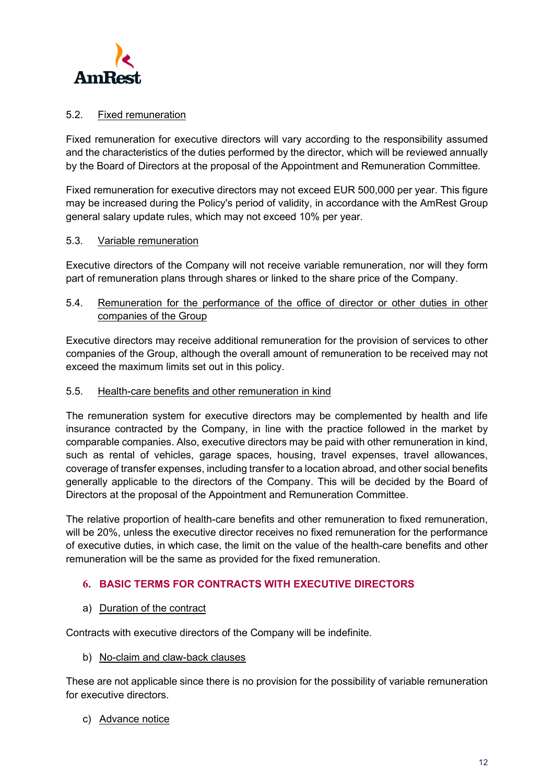

## 5.2. Fixed remuneration

Fixed remuneration for executive directors will vary according to the responsibility assumed and the characteristics of the duties performed by the director, which will be reviewed annually by the Board of Directors at the proposal of the Appointment and Remuneration Committee.

Fixed remuneration for executive directors may not exceed EUR 500,000 per year. This figure may be increased during the Policy's period of validity, in accordance with the AmRest Group general salary update rules, which may not exceed 10% per year.

### 5.3. Variable remuneration

Executive directors of the Company will not receive variable remuneration, nor will they form part of remuneration plans through shares or linked to the share price of the Company.

## 5.4. Remuneration for the performance of the office of director or other duties in other companies of the Group

Executive directors may receive additional remuneration for the provision of services to other companies of the Group, although the overall amount of remuneration to be received may not exceed the maximum limits set out in this policy.

### 5.5. Health-care benefits and other remuneration in kind

The remuneration system for executive directors may be complemented by health and life insurance contracted by the Company, in line with the practice followed in the market by comparable companies. Also, executive directors may be paid with other remuneration in kind, such as rental of vehicles, garage spaces, housing, travel expenses, travel allowances, coverage of transfer expenses, including transfer to a location abroad, and other social benefits generally applicable to the directors of the Company. This will be decided by the Board of Directors at the proposal of the Appointment and Remuneration Committee.

The relative proportion of health-care benefits and other remuneration to fixed remuneration, will be 20%, unless the executive director receives no fixed remuneration for the performance of executive duties, in which case, the limit on the value of the health-care benefits and other remuneration will be the same as provided for the fixed remuneration.

# **6. BASIC TERMS FOR CONTRACTS WITH EXECUTIVE DIRECTORS**

# a) Duration of the contract

Contracts with executive directors of the Company will be indefinite.

b) No-claim and claw-back clauses

These are not applicable since there is no provision for the possibility of variable remuneration for executive directors.

c) Advance notice